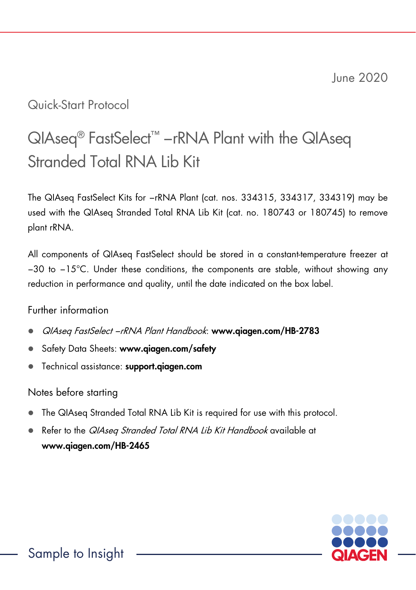June 2020

## Quick-Start Protocol

# QIAseq<sup>®</sup> FastSelect<sup>™</sup> −rRNA Plant with the QIAseq Stranded Total RNA Lib Kit

The QIAseq FastSelect Kits for −rRNA Plant (cat. nos. 334315, 334317, 334319) may be used with the QIAseq Stranded Total RNA Lib Kit (cat. no. 180743 or 180745) to remove plant rRNA.

All components of QIAseq FastSelect should be stored in a constant-temperature freezer at −30 to −15°C. Under these conditions, the components are stable, without showing any reduction in performance and quality, until the date indicated on the box label.

#### Further information

- QIAseq FastSelect −rRNA Plant Handbook: www.qiagen.com/HB-2783
- Safety Data Sheets: www.qiagen.com/safety
- **•** Technical assistance: support.giagen.com

### Notes before starting

- The QIAseq Stranded Total RNA Lib Kit is required for use with this protocol.
- Refer to the QIAseq Stranded Total RNA Lib Kit Handbook available at www.qiagen.com/HB-2465

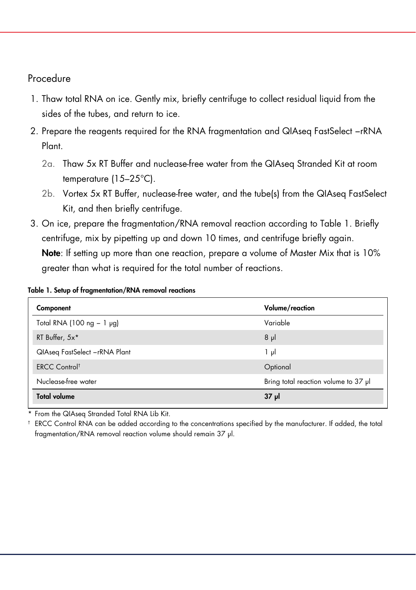#### Procedure

- 1. Thaw total RNA on ice. Gently mix, briefly centrifuge to collect residual liquid from the sides of the tubes, and return to ice.
- 2. Prepare the reagents required for the RNA fragmentation and QIAseg FastSelect −rRNA Plant.
	- 2a. Thaw 5x RT Buffer and nuclease-free water from the QIAseq Stranded Kit at room temperature (15–25°C).
	- 2b. Vortex 5x RT Buffer, nuclease-free water, and the tube(s) from the QIAseq FastSelect Kit, and then briefly centrifuge.
- 3. On ice, prepare the fragmentation/RNA removal reaction according to Table 1. Briefly centrifuge, mix by pipetting up and down 10 times, and centrifuge briefly again. Note: If setting up more than one reaction, prepare a volume of Master Mix that is 10% greater than what is required for the total number of reactions.

#### Table 1. Setup of fragmentation/RNA removal reactions

| Component                       | Volume/reaction                      |  |
|---------------------------------|--------------------------------------|--|
| Total RNA (100 ng $-1$ µg)      | Variable                             |  |
| RT Buffer, 5x*                  | $8 \mu$                              |  |
| QIAseq FastSelect -rRNA Plant   | $1 \mu$                              |  |
| <b>ERCC Control<sup>t</sup></b> | Optional                             |  |
| Nuclease-free water             | Bring total reaction volume to 37 µl |  |
| <b>Total volume</b>             | $37 \mu$                             |  |

From the QIAseq Stranded Total RNA Lib Kit.

† ERCC Control RNA can be added according to the concentrations specified by the manufacturer. If added, the total fragmentation/RNA removal reaction volume should remain 37 µl.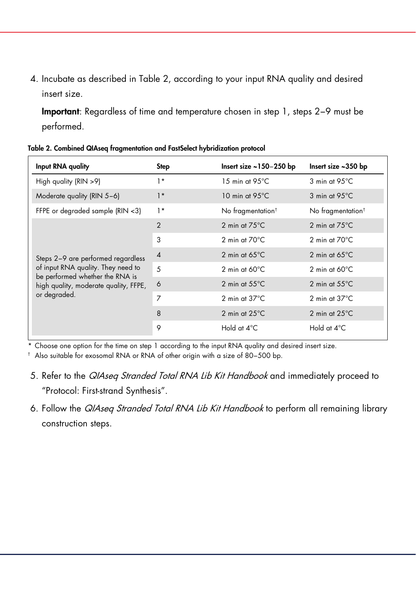4. Incubate as described in Table 2, according to your input RNA quality and desired insert size.

Important: Regardless of time and temperature chosen in step 1, steps 2−9 must be performed.

| Input RNA quality                                                                                                                                                    | Step           | Insert size $\sim$ 150-250 bp | Insert size ~350 bp               |
|----------------------------------------------------------------------------------------------------------------------------------------------------------------------|----------------|-------------------------------|-----------------------------------|
| High quality (RIN >9)                                                                                                                                                | $1*$           | 15 min at $95^{\circ}$ C      | $3 \text{ min}$ at 95 $\degree$ C |
| Moderate quality (RIN 5-6)                                                                                                                                           | $1*$           | 10 min at $95^{\circ}$ C      | 3 min at 95°C                     |
| FFPE or degraded sample (RIN <3)                                                                                                                                     | $1*$           | No fragmentation <sup>†</sup> | No fragmentation <sup>t</sup>     |
| Steps 2-9 are performed regardless<br>of input RNA quality. They need to<br>be performed whether the RNA is<br>high quality, moderate quality, FFPE,<br>or degraded. | $\overline{2}$ | 2 min at $75^{\circ}$ C       | 2 min at $75^{\circ}$ C           |
|                                                                                                                                                                      | 3              | 2 min at $70^{\circ}$ C       | 2 min at $70^{\circ}$ C           |
|                                                                                                                                                                      | $\overline{4}$ | 2 min at $65^{\circ}$ C       | 2 min at $65^{\circ}$ C           |
|                                                                                                                                                                      | .5             | 2 min at $60^{\circ}$ C       | 2 min at $60^{\circ}$ C           |
|                                                                                                                                                                      | 6              | 2 min at $55^{\circ}$ C       | 2 min at $55^{\circ}$ C           |
|                                                                                                                                                                      | 7              | 2 min at $37^{\circ}$ C       | 2 min at $37^{\circ}$ C           |
|                                                                                                                                                                      | $\mathsf{R}$   | 2 min at $25^{\circ}$ C       | 2 min at $25^{\circ}$ C           |
|                                                                                                                                                                      | 9              | Hold at 4°C                   | Hold at 4°C                       |

Table 2. Combined QIAseq fragmentation and FastSelect hybridization protocol

\* Choose one option for the time on step 1 according to the input RNA quality and desired insert size.

† Also suitable for exosomal RNA or RNA of other origin with a size of 80−500 bp.

- 5. Refer to the QIAseq Stranded Total RNA Lib Kit Handbook and immediately proceed to "Protocol: First-strand Synthesis".
- 6. Follow the *QIAseq Stranded Total RNA Lib Kit Handbook* to perform all remaining library construction steps.